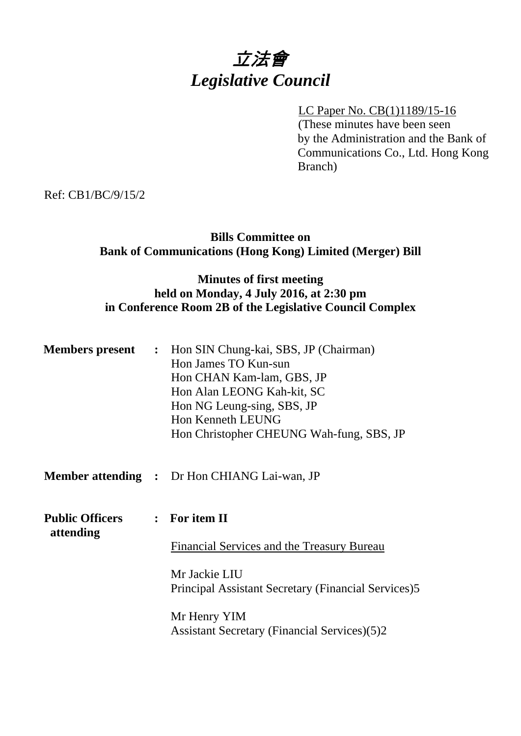# 立法會 *Legislative Council*

#### LC Paper No. CB(1)1189/15-16

(These minutes have been seen by the Administration and the Bank of Communications Co., Ltd. Hong Kong Branch)

Ref: CB1/BC/9/15/2

# **Bills Committee on Bank of Communications (Hong Kong) Limited (Merger) Bill**

# **Minutes of first meeting held on Monday, 4 July 2016, at 2:30 pm in Conference Room 2B of the Legislative Council Complex**

|                                     | <b>Members present :</b> Hon SIN Chung-kai, SBS, JP (Chairman)<br>Hon James TO Kun-sun<br>Hon CHAN Kam-lam, GBS, JP<br>Hon Alan LEONG Kah-kit, SC<br>Hon NG Leung-sing, SBS, JP<br>Hon Kenneth LEUNG<br>Hon Christopher CHEUNG Wah-fung, SBS, JP |
|-------------------------------------|--------------------------------------------------------------------------------------------------------------------------------------------------------------------------------------------------------------------------------------------------|
|                                     | <b>Member attending :</b> Dr Hon CHIANG Lai-wan, JP                                                                                                                                                                                              |
| <b>Public Officers</b><br>attending | $:$ For item II                                                                                                                                                                                                                                  |
|                                     | Financial Services and the Treasury Bureau                                                                                                                                                                                                       |
|                                     | Mr Jackie LIU<br>Principal Assistant Secretary (Financial Services)5                                                                                                                                                                             |
|                                     | Mr Henry YIM<br><b>Assistant Secretary (Financial Services)(5)2</b>                                                                                                                                                                              |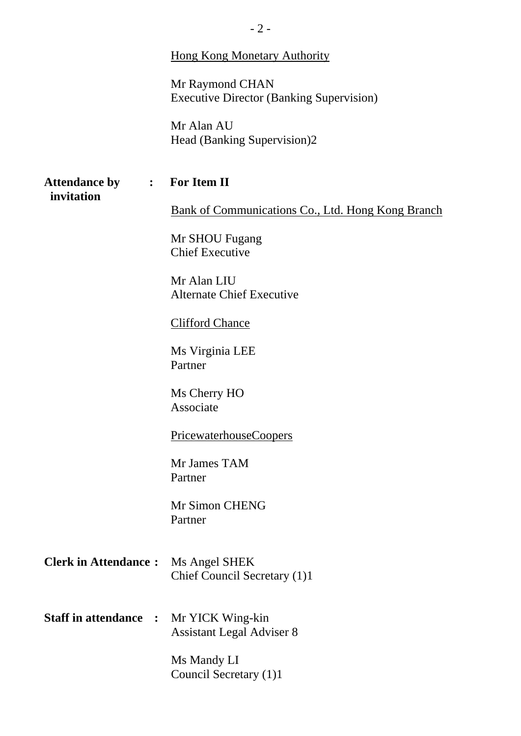|                                    | $-2-$                                                              |
|------------------------------------|--------------------------------------------------------------------|
|                                    | <b>Hong Kong Monetary Authority</b>                                |
|                                    | Mr Raymond CHAN<br><b>Executive Director (Banking Supervision)</b> |
|                                    | Mr Alan AU<br>Head (Banking Supervision)2                          |
| <b>Attendance by</b><br>invitation | : For Item II                                                      |
|                                    | Bank of Communications Co., Ltd. Hong Kong Branch                  |
|                                    | Mr SHOU Fugang<br><b>Chief Executive</b>                           |
|                                    | Mr Alan LIU<br><b>Alternate Chief Executive</b>                    |
|                                    | <b>Clifford Chance</b>                                             |
|                                    | Ms Virginia LEE<br>Partner                                         |
|                                    | Ms Cherry HO<br>Associate                                          |
|                                    | PricewaterhouseCoopers                                             |
|                                    | Mr James TAM<br>Partner                                            |
|                                    | Mr Simon CHENG<br>Partner                                          |
| <b>Clerk in Attendance:</b>        | Ms Angel SHEK<br>Chief Council Secretary (1)1                      |
| <b>Staff in attendance :</b>       | Mr YICK Wing-kin<br><b>Assistant Legal Adviser 8</b>               |
|                                    | Ms Mandy LI<br>Council Secretary (1)1                              |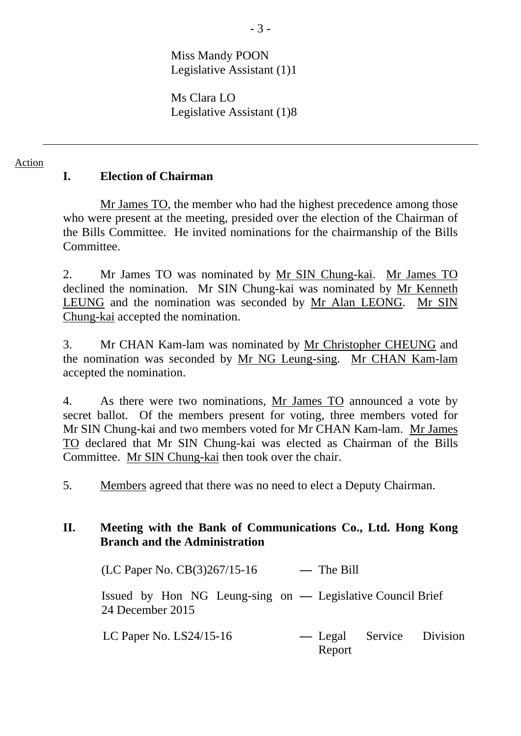Miss Mandy POON Legislative Assistant (1)1

Ms Clara LO Legislative Assistant (1)8

#### Action

### **I. Election of Chairman**

Mr James TO, the member who had the highest precedence among those who were present at the meeting, presided over the election of the Chairman of the Bills Committee. He invited nominations for the chairmanship of the Bills **Committee** 

2. Mr James TO was nominated by Mr SIN Chung-kai. Mr James TO declined the nomination. Mr SIN Chung-kai was nominated by Mr Kenneth LEUNG and the nomination was seconded by Mr Alan LEONG. Mr SIN Chung-kai accepted the nomination.

3. Mr CHAN Kam-lam was nominated by Mr Christopher CHEUNG and the nomination was seconded by Mr NG Leung-sing. Mr CHAN Kam-lam accepted the nomination.

4. As there were two nominations, Mr James TO announced a vote by secret ballot. Of the members present for voting, three members voted for Mr SIN Chung-kai and two members voted for Mr CHAN Kam-lam. Mr James TO declared that Mr SIN Chung-kai was elected as Chairman of the Bills Committee. Mr SIN Chung-kai then took over the chair.

5. Members agreed that there was no need to elect a Deputy Chairman.

### **II. Meeting with the Bank of Communications Co., Ltd. Hong Kong Branch and the Administration**

(LC Paper No. CB(3)267/15-16 **—** The Bill

Issued by Hon NG Leung-sing on **—** Legislative Council Brief 24 December 2015

LC Paper No. LS24/15-16 **—** Legal Service Division Report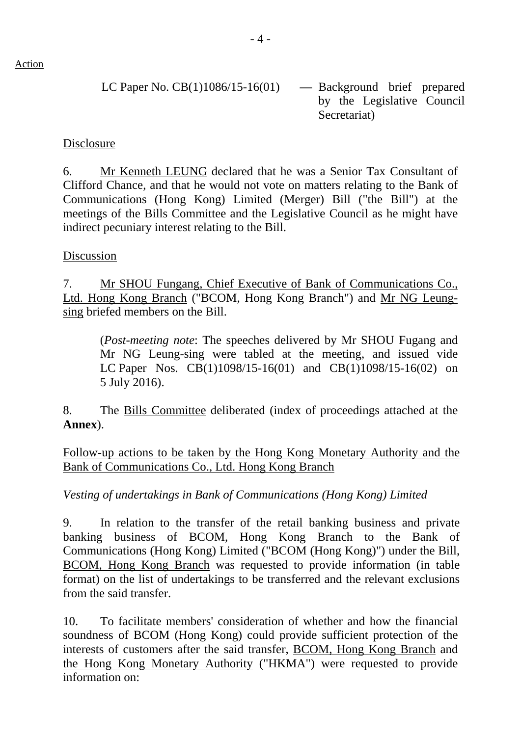LC Paper No. CB(1)1086/15-16(01) **—** Background brief prepared by the Legislative Council Secretariat)

#### Disclosure

6. Mr Kenneth LEUNG declared that he was a Senior Tax Consultant of Clifford Chance, and that he would not vote on matters relating to the Bank of Communications (Hong Kong) Limited (Merger) Bill ("the Bill") at the meetings of the Bills Committee and the Legislative Council as he might have indirect pecuniary interest relating to the Bill.

#### Discussion

7. Mr SHOU Fungang, Chief Executive of Bank of Communications Co., Ltd. Hong Kong Branch ("BCOM, Hong Kong Branch") and Mr NG Leungsing briefed members on the Bill.

 (*Post-meeting note*: The speeches delivered by Mr SHOU Fugang and Mr NG Leung-sing were tabled at the meeting, and issued vide LC Paper Nos. CB(1)1098/15-16(01) and CB(1)1098/15-16(02) on 5 July 2016).

8. The Bills Committee deliberated (index of proceedings attached at the **Annex**).

Follow-up actions to be taken by the Hong Kong Monetary Authority and the Bank of Communications Co., Ltd. Hong Kong Branch

*Vesting of undertakings in Bank of Communications (Hong Kong) Limited* 

9. In relation to the transfer of the retail banking business and private banking business of BCOM, Hong Kong Branch to the Bank of Communications (Hong Kong) Limited ("BCOM (Hong Kong)") under the Bill, BCOM, Hong Kong Branch was requested to provide information (in table format) on the list of undertakings to be transferred and the relevant exclusions from the said transfer.

10. To facilitate members' consideration of whether and how the financial soundness of BCOM (Hong Kong) could provide sufficient protection of the interests of customers after the said transfer, BCOM, Hong Kong Branch and the Hong Kong Monetary Authority ("HKMA") were requested to provide information on: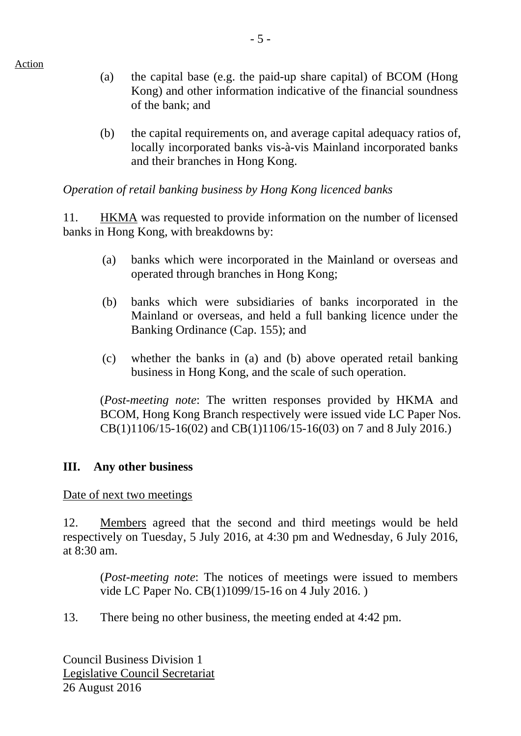Action

- (a) the capital base (e.g. the paid-up share capital) of BCOM (Hong Kong) and other information indicative of the financial soundness of the bank; and
- (b) the capital requirements on, and average capital adequacy ratios of, locally incorporated banks vis-à-vis Mainland incorporated banks and their branches in Hong Kong.

*Operation of retail banking business by Hong Kong licenced banks* 

11. HKMA was requested to provide information on the number of licensed banks in Hong Kong, with breakdowns by:

- (a) banks which were incorporated in the Mainland or overseas and operated through branches in Hong Kong;
- (b) banks which were subsidiaries of banks incorporated in the Mainland or overseas, and held a full banking licence under the Banking Ordinance (Cap. 155); and
- (c) whether the banks in (a) and (b) above operated retail banking business in Hong Kong, and the scale of such operation.

(*Post-meeting note*: The written responses provided by HKMA and BCOM, Hong Kong Branch respectively were issued vide LC Paper Nos. CB(1)1106/15-16(02) and CB(1)1106/15-16(03) on 7 and 8 July 2016.)

# **III. Any other business**

Date of next two meetings

12. Members agreed that the second and third meetings would be held respectively on Tuesday, 5 July 2016, at 4:30 pm and Wednesday, 6 July 2016, at 8:30 am.

(*Post-meeting note*: The notices of meetings were issued to members vide LC Paper No. CB(1)1099/15-16 on 4 July 2016. )

13. There being no other business, the meeting ended at 4:42 pm.

Council Business Division 1 Legislative Council Secretariat 26 August 2016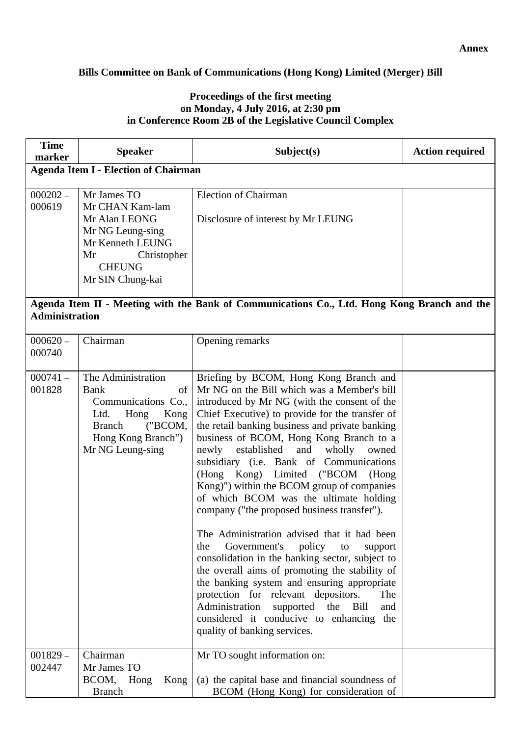#### **Annex**

#### **Bills Committee on Bank of Communications (Hong Kong) Limited (Merger) Bill**

#### **Proceedings of the first meeting on Monday, 4 July 2016, at 2:30 pm in Conference Room 2B of the Legislative Council Complex**

| <b>Time</b><br>marker | <b>Speaker</b>                                                                                                                                               | Subject(s)                                                                                                                                                                                                                                                                                                                                                                                                                                                                                                                                                                                                                                                                                                                                                                                                                                                                                                                                                                                             | <b>Action required</b> |
|-----------------------|--------------------------------------------------------------------------------------------------------------------------------------------------------------|--------------------------------------------------------------------------------------------------------------------------------------------------------------------------------------------------------------------------------------------------------------------------------------------------------------------------------------------------------------------------------------------------------------------------------------------------------------------------------------------------------------------------------------------------------------------------------------------------------------------------------------------------------------------------------------------------------------------------------------------------------------------------------------------------------------------------------------------------------------------------------------------------------------------------------------------------------------------------------------------------------|------------------------|
|                       | <b>Agenda Item I - Election of Chairman</b>                                                                                                                  |                                                                                                                                                                                                                                                                                                                                                                                                                                                                                                                                                                                                                                                                                                                                                                                                                                                                                                                                                                                                        |                        |
| $000202 -$<br>000619  | Mr James TO<br>Mr CHAN Kam-lam<br>Mr Alan LEONG<br>Mr NG Leung-sing<br>Mr Kenneth LEUNG<br>Christopher<br>Mr<br><b>CHEUNG</b><br>Mr SIN Chung-kai            | <b>Election of Chairman</b><br>Disclosure of interest by Mr LEUNG                                                                                                                                                                                                                                                                                                                                                                                                                                                                                                                                                                                                                                                                                                                                                                                                                                                                                                                                      |                        |
| <b>Administration</b> |                                                                                                                                                              | Agenda Item II - Meeting with the Bank of Communications Co., Ltd. Hong Kong Branch and the                                                                                                                                                                                                                                                                                                                                                                                                                                                                                                                                                                                                                                                                                                                                                                                                                                                                                                            |                        |
| $000620 -$<br>000740  | Chairman                                                                                                                                                     | Opening remarks                                                                                                                                                                                                                                                                                                                                                                                                                                                                                                                                                                                                                                                                                                                                                                                                                                                                                                                                                                                        |                        |
| $000741 -$<br>001828  | The Administration<br>of<br><b>Bank</b><br>Communications Co.,<br>Ltd.<br>Hong<br>Kong<br>("BCOM,<br><b>Branch</b><br>Hong Kong Branch")<br>Mr NG Leung-sing | Briefing by BCOM, Hong Kong Branch and<br>Mr NG on the Bill which was a Member's bill<br>introduced by Mr NG (with the consent of the<br>Chief Executive) to provide for the transfer of<br>the retail banking business and private banking<br>business of BCOM, Hong Kong Branch to a<br>established and<br>wholly<br>newly<br>owned<br>subsidiary (i.e. Bank of Communications<br>(Hong Kong) Limited ("BCOM<br>(Hong)<br>Kong)") within the BCOM group of companies<br>of which BCOM was the ultimate holding<br>company ("the proposed business transfer").<br>The Administration advised that it had been<br>Government's<br>policy<br>the<br>to<br>support<br>consolidation in the banking sector, subject to<br>the overall aims of promoting the stability of<br>the banking system and ensuring appropriate<br>protection for relevant depositors.<br>The<br>Administration<br>supported<br>the<br>Bill<br>and<br>considered it conducive to enhancing<br>the<br>quality of banking services. |                        |
| $001829 -$<br>002447  | Chairman<br>Mr James TO<br>BCOM,<br>Hong<br>Kong<br><b>Branch</b>                                                                                            | Mr TO sought information on:<br>(a) the capital base and financial soundness of<br>BCOM (Hong Kong) for consideration of                                                                                                                                                                                                                                                                                                                                                                                                                                                                                                                                                                                                                                                                                                                                                                                                                                                                               |                        |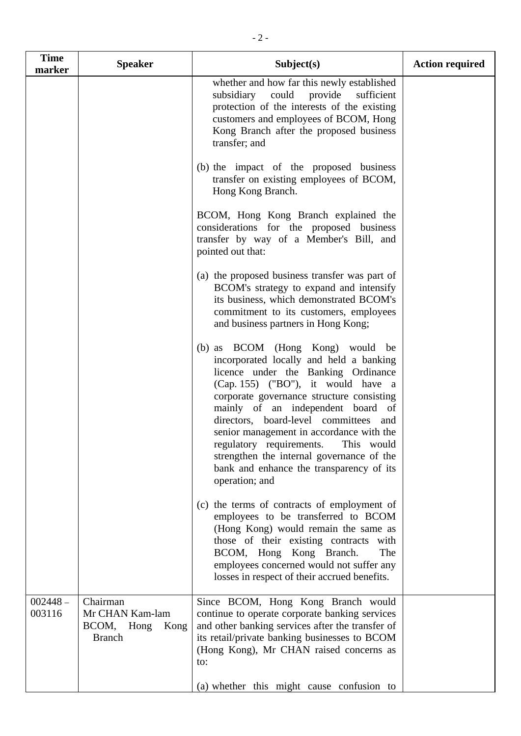| <b>Time</b><br>marker | <b>Speaker</b>                                                     | Subject(s)                                                                                                                                                                                                                                                                                                                                                                                                                                                                           | <b>Action required</b> |
|-----------------------|--------------------------------------------------------------------|--------------------------------------------------------------------------------------------------------------------------------------------------------------------------------------------------------------------------------------------------------------------------------------------------------------------------------------------------------------------------------------------------------------------------------------------------------------------------------------|------------------------|
|                       |                                                                    | whether and how far this newly established<br>subsidiary<br>could<br>provide<br>sufficient<br>protection of the interests of the existing<br>customers and employees of BCOM, Hong<br>Kong Branch after the proposed business<br>transfer; and                                                                                                                                                                                                                                       |                        |
|                       |                                                                    | (b) the impact of the proposed business<br>transfer on existing employees of BCOM,<br>Hong Kong Branch.                                                                                                                                                                                                                                                                                                                                                                              |                        |
|                       |                                                                    | BCOM, Hong Kong Branch explained the<br>considerations for the proposed business<br>transfer by way of a Member's Bill, and<br>pointed out that:                                                                                                                                                                                                                                                                                                                                     |                        |
|                       |                                                                    | (a) the proposed business transfer was part of<br>BCOM's strategy to expand and intensify<br>its business, which demonstrated BCOM's<br>commitment to its customers, employees<br>and business partners in Hong Kong;                                                                                                                                                                                                                                                                |                        |
|                       |                                                                    | (b) as BCOM (Hong Kong) would be<br>incorporated locally and held a banking<br>licence under the Banking Ordinance<br>(Cap. 155) ("BO"), it would have a<br>corporate governance structure consisting<br>mainly of an independent board of<br>directors, board-level committees and<br>senior management in accordance with the<br>regulatory requirements.<br>This would<br>strengthen the internal governance of the<br>bank and enhance the transparency of its<br>operation; and |                        |
|                       |                                                                    | (c) the terms of contracts of employment of<br>employees to be transferred to BCOM<br>(Hong Kong) would remain the same as<br>those of their existing contracts with<br>BCOM, Hong Kong Branch.<br>The<br>employees concerned would not suffer any<br>losses in respect of their accrued benefits.                                                                                                                                                                                   |                        |
| $002448 -$<br>003116  | Chairman<br>Mr CHAN Kam-lam<br>BCOM, Hong<br>Kong<br><b>Branch</b> | Since BCOM, Hong Kong Branch would<br>continue to operate corporate banking services<br>and other banking services after the transfer of<br>its retail/private banking businesses to BCOM<br>(Hong Kong), Mr CHAN raised concerns as<br>to:                                                                                                                                                                                                                                          |                        |
|                       |                                                                    | (a) whether this might cause confusion to                                                                                                                                                                                                                                                                                                                                                                                                                                            |                        |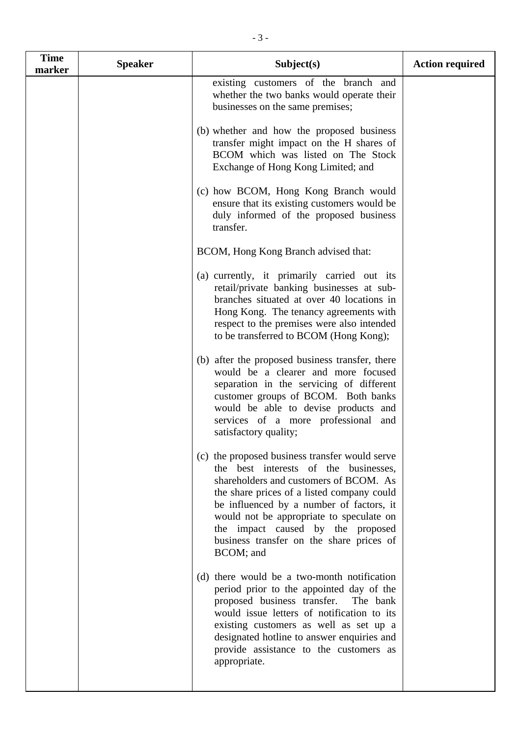| existing customers of the branch and<br>whether the two banks would operate their<br>businesses on the same premises;<br>(b) whether and how the proposed business<br>transfer might impact on the H shares of<br>BCOM which was listed on The Stock<br>Exchange of Hong Kong Limited; and<br>(c) how BCOM, Hong Kong Branch would<br>ensure that its existing customers would be<br>duly informed of the proposed business<br>transfer.<br>BCOM, Hong Kong Branch advised that:<br>(a) currently, it primarily carried out its<br>retail/private banking businesses at sub-<br>branches situated at over 40 locations in<br>Hong Kong. The tenancy agreements with<br>respect to the premises were also intended<br>to be transferred to BCOM (Hong Kong);<br>(b) after the proposed business transfer, there<br>would be a clearer and more focused<br>separation in the servicing of different<br>customer groups of BCOM. Both banks<br>would be able to devise products and<br>services of a more professional and<br>satisfactory quality;<br>(c) the proposed business transfer would serve<br>the best interests of the businesses,<br>shareholders and customers of BCOM. As<br>the share prices of a listed company could<br>be influenced by a number of factors, it<br>would not be appropriate to speculate on<br>the impact caused by the proposed<br>business transfer on the share prices of<br>BCOM; and<br>(d) there would be a two-month notification<br>period prior to the appointed day of the<br>proposed business transfer.<br>The bank<br>would issue letters of notification to its<br>existing customers as well as set up a<br>designated hotline to answer enquiries and | <b>Time</b><br>marker | <b>Speaker</b> | Subject(s)                             | <b>Action required</b> |
|-------------------------------------------------------------------------------------------------------------------------------------------------------------------------------------------------------------------------------------------------------------------------------------------------------------------------------------------------------------------------------------------------------------------------------------------------------------------------------------------------------------------------------------------------------------------------------------------------------------------------------------------------------------------------------------------------------------------------------------------------------------------------------------------------------------------------------------------------------------------------------------------------------------------------------------------------------------------------------------------------------------------------------------------------------------------------------------------------------------------------------------------------------------------------------------------------------------------------------------------------------------------------------------------------------------------------------------------------------------------------------------------------------------------------------------------------------------------------------------------------------------------------------------------------------------------------------------------------------------------------------------------------------------------------------------------------------|-----------------------|----------------|----------------------------------------|------------------------|
|                                                                                                                                                                                                                                                                                                                                                                                                                                                                                                                                                                                                                                                                                                                                                                                                                                                                                                                                                                                                                                                                                                                                                                                                                                                                                                                                                                                                                                                                                                                                                                                                                                                                                                       |                       |                |                                        |                        |
|                                                                                                                                                                                                                                                                                                                                                                                                                                                                                                                                                                                                                                                                                                                                                                                                                                                                                                                                                                                                                                                                                                                                                                                                                                                                                                                                                                                                                                                                                                                                                                                                                                                                                                       |                       |                |                                        |                        |
|                                                                                                                                                                                                                                                                                                                                                                                                                                                                                                                                                                                                                                                                                                                                                                                                                                                                                                                                                                                                                                                                                                                                                                                                                                                                                                                                                                                                                                                                                                                                                                                                                                                                                                       |                       |                |                                        |                        |
|                                                                                                                                                                                                                                                                                                                                                                                                                                                                                                                                                                                                                                                                                                                                                                                                                                                                                                                                                                                                                                                                                                                                                                                                                                                                                                                                                                                                                                                                                                                                                                                                                                                                                                       |                       |                |                                        |                        |
|                                                                                                                                                                                                                                                                                                                                                                                                                                                                                                                                                                                                                                                                                                                                                                                                                                                                                                                                                                                                                                                                                                                                                                                                                                                                                                                                                                                                                                                                                                                                                                                                                                                                                                       |                       |                |                                        |                        |
|                                                                                                                                                                                                                                                                                                                                                                                                                                                                                                                                                                                                                                                                                                                                                                                                                                                                                                                                                                                                                                                                                                                                                                                                                                                                                                                                                                                                                                                                                                                                                                                                                                                                                                       |                       |                |                                        |                        |
|                                                                                                                                                                                                                                                                                                                                                                                                                                                                                                                                                                                                                                                                                                                                                                                                                                                                                                                                                                                                                                                                                                                                                                                                                                                                                                                                                                                                                                                                                                                                                                                                                                                                                                       |                       |                |                                        |                        |
| appropriate.                                                                                                                                                                                                                                                                                                                                                                                                                                                                                                                                                                                                                                                                                                                                                                                                                                                                                                                                                                                                                                                                                                                                                                                                                                                                                                                                                                                                                                                                                                                                                                                                                                                                                          |                       |                | provide assistance to the customers as |                        |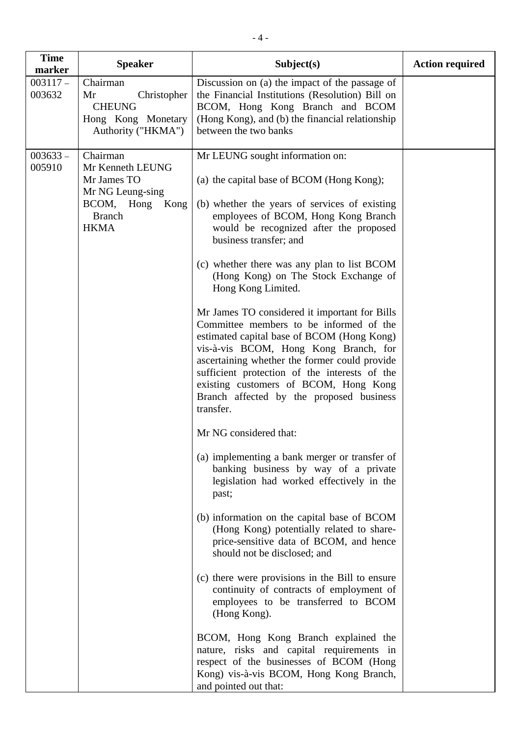| <b>Time</b><br>marker | <b>Speaker</b>                                                                                                     | Subject(s)                                                                                                                                                                                                                                                                                                                                                                                                                                                                                                                                                                                                                                                                                                                                                                                                                                                                                                                                                                                                                                                                                                                                                                                                                                                                                                                                                                                                                                             | <b>Action required</b> |
|-----------------------|--------------------------------------------------------------------------------------------------------------------|--------------------------------------------------------------------------------------------------------------------------------------------------------------------------------------------------------------------------------------------------------------------------------------------------------------------------------------------------------------------------------------------------------------------------------------------------------------------------------------------------------------------------------------------------------------------------------------------------------------------------------------------------------------------------------------------------------------------------------------------------------------------------------------------------------------------------------------------------------------------------------------------------------------------------------------------------------------------------------------------------------------------------------------------------------------------------------------------------------------------------------------------------------------------------------------------------------------------------------------------------------------------------------------------------------------------------------------------------------------------------------------------------------------------------------------------------------|------------------------|
| $003117 -$<br>003632  | Chairman<br>Christopher<br>Mr<br><b>CHEUNG</b><br>Hong Kong Monetary<br>Authority ("HKMA")                         | Discussion on (a) the impact of the passage of<br>the Financial Institutions (Resolution) Bill on<br>BCOM, Hong Kong Branch and BCOM<br>(Hong Kong), and (b) the financial relationship<br>between the two banks                                                                                                                                                                                                                                                                                                                                                                                                                                                                                                                                                                                                                                                                                                                                                                                                                                                                                                                                                                                                                                                                                                                                                                                                                                       |                        |
| $003633 -$<br>005910  | Chairman<br>Mr Kenneth LEUNG<br>Mr James TO<br>Mr NG Leung-sing<br>BCOM, Hong Kong<br><b>Branch</b><br><b>HKMA</b> | Mr LEUNG sought information on:<br>(a) the capital base of BCOM (Hong Kong);<br>(b) whether the years of services of existing<br>employees of BCOM, Hong Kong Branch<br>would be recognized after the proposed<br>business transfer; and<br>(c) whether there was any plan to list BCOM<br>(Hong Kong) on The Stock Exchange of<br>Hong Kong Limited.<br>Mr James TO considered it important for Bills<br>Committee members to be informed of the<br>estimated capital base of BCOM (Hong Kong)<br>vis-à-vis BCOM, Hong Kong Branch, for<br>ascertaining whether the former could provide<br>sufficient protection of the interests of the<br>existing customers of BCOM, Hong Kong<br>Branch affected by the proposed business<br>transfer.<br>Mr NG considered that:<br>(a) implementing a bank merger or transfer of<br>banking business by way of a private<br>legislation had worked effectively in the<br>past;<br>(b) information on the capital base of BCOM<br>(Hong Kong) potentially related to share-<br>price-sensitive data of BCOM, and hence<br>should not be disclosed; and<br>(c) there were provisions in the Bill to ensure<br>continuity of contracts of employment of<br>employees to be transferred to BCOM<br>(Hong Kong).<br>BCOM, Hong Kong Branch explained the<br>nature, risks and capital requirements in<br>respect of the businesses of BCOM (Hong<br>Kong) vis-à-vis BCOM, Hong Kong Branch,<br>and pointed out that: |                        |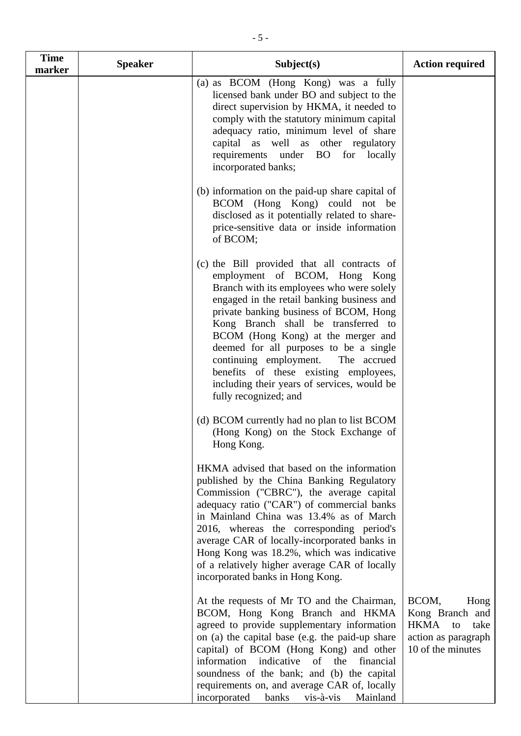| <b>Time</b><br>marker | <b>Speaker</b> | Subject(s)                                                                                                                                                                                                                                                                                                                                                                                                                                                                                      | <b>Action required</b>                                                                                    |
|-----------------------|----------------|-------------------------------------------------------------------------------------------------------------------------------------------------------------------------------------------------------------------------------------------------------------------------------------------------------------------------------------------------------------------------------------------------------------------------------------------------------------------------------------------------|-----------------------------------------------------------------------------------------------------------|
|                       |                | (a) as BCOM (Hong Kong) was a fully<br>licensed bank under BO and subject to the<br>direct supervision by HKMA, it needed to<br>comply with the statutory minimum capital<br>adequacy ratio, minimum level of share<br>capital as well as other regulatory<br>requirements under BO for locally<br>incorporated banks;                                                                                                                                                                          |                                                                                                           |
|                       |                | (b) information on the paid-up share capital of<br>BCOM (Hong Kong) could not be<br>disclosed as it potentially related to share-<br>price-sensitive data or inside information<br>of BCOM;                                                                                                                                                                                                                                                                                                     |                                                                                                           |
|                       |                | (c) the Bill provided that all contracts of<br>employment of BCOM, Hong Kong<br>Branch with its employees who were solely<br>engaged in the retail banking business and<br>private banking business of BCOM, Hong<br>Kong Branch shall be transferred to<br>BCOM (Hong Kong) at the merger and<br>deemed for all purposes to be a single<br>continuing employment. The accrued<br>benefits of these existing employees,<br>including their years of services, would be<br>fully recognized; and |                                                                                                           |
|                       |                | (d) BCOM currently had no plan to list BCOM<br>(Hong Kong) on the Stock Exchange of<br>Hong Kong.                                                                                                                                                                                                                                                                                                                                                                                               |                                                                                                           |
|                       |                | HKMA advised that based on the information<br>published by the China Banking Regulatory<br>Commission ("CBRC"), the average capital<br>adequacy ratio ("CAR") of commercial banks<br>in Mainland China was 13.4% as of March<br>2016, whereas the corresponding period's<br>average CAR of locally-incorporated banks in<br>Hong Kong was 18.2%, which was indicative<br>of a relatively higher average CAR of locally<br>incorporated banks in Hong Kong.                                      |                                                                                                           |
|                       |                | At the requests of Mr TO and the Chairman,<br>BCOM, Hong Kong Branch and HKMA<br>agreed to provide supplementary information<br>on (a) the capital base (e.g. the paid-up share<br>capital) of BCOM (Hong Kong) and other<br>information indicative of the<br>financial<br>soundness of the bank; and (b) the capital<br>requirements on, and average CAR of, locally<br>incorporated<br>Mainland<br>banks<br>vis-à-vis                                                                         | BCOM,<br>Hong<br>Kong Branch and<br><b>HKMA</b><br>take<br>to<br>action as paragraph<br>10 of the minutes |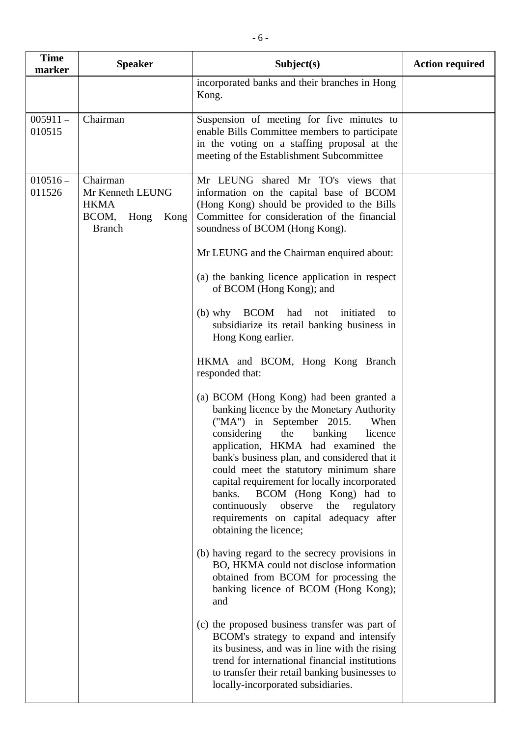| <b>Time</b><br>marker | <b>Speaker</b>                                                                     | Subject(s)                                                                                                                                                                                                                                                                                                                                                                                                                                                                                                                                                                                                                                                                                                                                                                                                                                                                                                                                                                                                                                                                                                                                                                                                                                                                                                                                                                                                                                                                                                     | <b>Action required</b> |
|-----------------------|------------------------------------------------------------------------------------|----------------------------------------------------------------------------------------------------------------------------------------------------------------------------------------------------------------------------------------------------------------------------------------------------------------------------------------------------------------------------------------------------------------------------------------------------------------------------------------------------------------------------------------------------------------------------------------------------------------------------------------------------------------------------------------------------------------------------------------------------------------------------------------------------------------------------------------------------------------------------------------------------------------------------------------------------------------------------------------------------------------------------------------------------------------------------------------------------------------------------------------------------------------------------------------------------------------------------------------------------------------------------------------------------------------------------------------------------------------------------------------------------------------------------------------------------------------------------------------------------------------|------------------------|
|                       |                                                                                    | incorporated banks and their branches in Hong<br>Kong.                                                                                                                                                                                                                                                                                                                                                                                                                                                                                                                                                                                                                                                                                                                                                                                                                                                                                                                                                                                                                                                                                                                                                                                                                                                                                                                                                                                                                                                         |                        |
| $005911 -$<br>010515  | Chairman                                                                           | Suspension of meeting for five minutes to<br>enable Bills Committee members to participate<br>in the voting on a staffing proposal at the<br>meeting of the Establishment Subcommittee                                                                                                                                                                                                                                                                                                                                                                                                                                                                                                                                                                                                                                                                                                                                                                                                                                                                                                                                                                                                                                                                                                                                                                                                                                                                                                                         |                        |
| $010516 -$<br>011526  | Chairman<br>Mr Kenneth LEUNG<br><b>HKMA</b><br>BCOM, Hong<br>Kong<br><b>Branch</b> | Mr LEUNG shared Mr TO's views that<br>information on the capital base of BCOM<br>(Hong Kong) should be provided to the Bills<br>Committee for consideration of the financial<br>soundness of BCOM (Hong Kong).<br>Mr LEUNG and the Chairman enquired about:<br>(a) the banking licence application in respect<br>of BCOM (Hong Kong); and<br>(b) why BCOM had not<br>initiated<br>to<br>subsidiarize its retail banking business in<br>Hong Kong earlier.<br>HKMA and BCOM, Hong Kong Branch<br>responded that:<br>(a) BCOM (Hong Kong) had been granted a<br>banking licence by the Monetary Authority<br>("MA") in September 2015.<br>When<br>considering<br>the<br>banking<br>licence<br>application, HKMA had examined the<br>bank's business plan, and considered that it<br>could meet the statutory minimum share<br>capital requirement for locally incorporated<br>banks.<br>BCOM (Hong Kong) had to<br>continuously<br>observe<br>the<br>regulatory<br>requirements on capital adequacy after<br>obtaining the licence;<br>(b) having regard to the secrecy provisions in<br>BO, HKMA could not disclose information<br>obtained from BCOM for processing the<br>banking licence of BCOM (Hong Kong);<br>and<br>(c) the proposed business transfer was part of<br>BCOM's strategy to expand and intensify<br>its business, and was in line with the rising<br>trend for international financial institutions<br>to transfer their retail banking businesses to<br>locally-incorporated subsidiaries. |                        |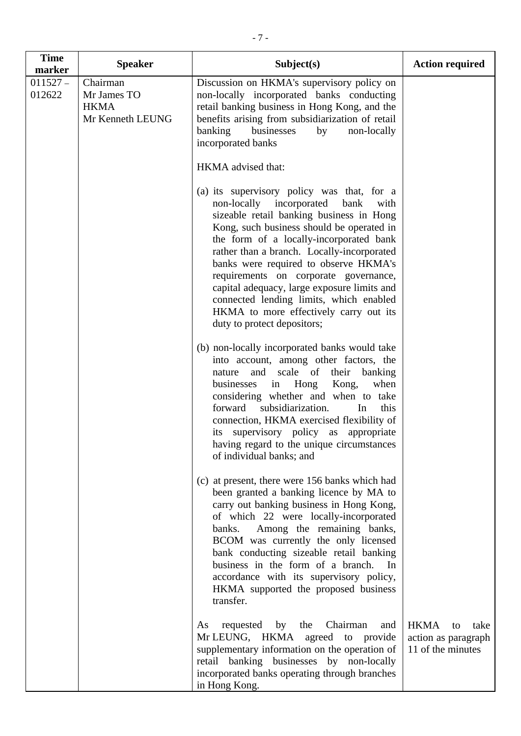| <b>Time</b><br>marker                                          | <b>Speaker</b>                                                                                                                                                                                                                                                                                                                                                                                                                                    | Subject(s)                                                                                                                                                                                                                                                                                                                                                                                                                                                                                                                    | <b>Action required</b> |
|----------------------------------------------------------------|---------------------------------------------------------------------------------------------------------------------------------------------------------------------------------------------------------------------------------------------------------------------------------------------------------------------------------------------------------------------------------------------------------------------------------------------------|-------------------------------------------------------------------------------------------------------------------------------------------------------------------------------------------------------------------------------------------------------------------------------------------------------------------------------------------------------------------------------------------------------------------------------------------------------------------------------------------------------------------------------|------------------------|
| $011527 -$<br>Chairman<br>012622<br>Mr James TO<br><b>HKMA</b> | Mr Kenneth LEUNG                                                                                                                                                                                                                                                                                                                                                                                                                                  | Discussion on HKMA's supervisory policy on<br>non-locally incorporated banks conducting<br>retail banking business in Hong Kong, and the<br>benefits arising from subsidiarization of retail<br>banking<br>businesses<br>non-locally<br>by<br>incorporated banks                                                                                                                                                                                                                                                              |                        |
|                                                                |                                                                                                                                                                                                                                                                                                                                                                                                                                                   | HKMA advised that:                                                                                                                                                                                                                                                                                                                                                                                                                                                                                                            |                        |
|                                                                |                                                                                                                                                                                                                                                                                                                                                                                                                                                   | (a) its supervisory policy was that, for a<br>non-locally incorporated<br>bank<br>with<br>sizeable retail banking business in Hong<br>Kong, such business should be operated in<br>the form of a locally-incorporated bank<br>rather than a branch. Locally-incorporated<br>banks were required to observe HKMA's<br>requirements on corporate governance,<br>capital adequacy, large exposure limits and<br>connected lending limits, which enabled<br>HKMA to more effectively carry out its<br>duty to protect depositors; |                        |
|                                                                |                                                                                                                                                                                                                                                                                                                                                                                                                                                   | (b) non-locally incorporated banks would take<br>into account, among other factors, the<br>and scale of their banking<br>nature<br>Hong<br>Kong,<br>when<br>businesses<br>in<br>considering whether and when to take<br>subsidiarization.<br>forward<br>In<br>this<br>connection, HKMA exercised flexibility of<br>its supervisory policy as appropriate<br>having regard to the unique circumstances<br>of individual banks; and                                                                                             |                        |
|                                                                | (c) at present, there were 156 banks which had<br>been granted a banking licence by MA to<br>carry out banking business in Hong Kong,<br>of which 22 were locally-incorporated<br>banks. Among the remaining banks,<br>BCOM was currently the only licensed<br>bank conducting sizeable retail banking<br>business in the form of a branch.<br>In<br>accordance with its supervisory policy,<br>HKMA supported the proposed business<br>transfer. |                                                                                                                                                                                                                                                                                                                                                                                                                                                                                                                               |                        |
|                                                                | Chairman<br>requested<br>by<br>the<br>As<br>and<br>Mr LEUNG, HKMA agreed to provide<br>supplementary information on the operation of<br>retail banking businesses by non-locally<br>incorporated banks operating through branches<br>in Hong Kong.                                                                                                                                                                                                | <b>HKMA</b><br>take<br>to<br>action as paragraph<br>11 of the minutes                                                                                                                                                                                                                                                                                                                                                                                                                                                         |                        |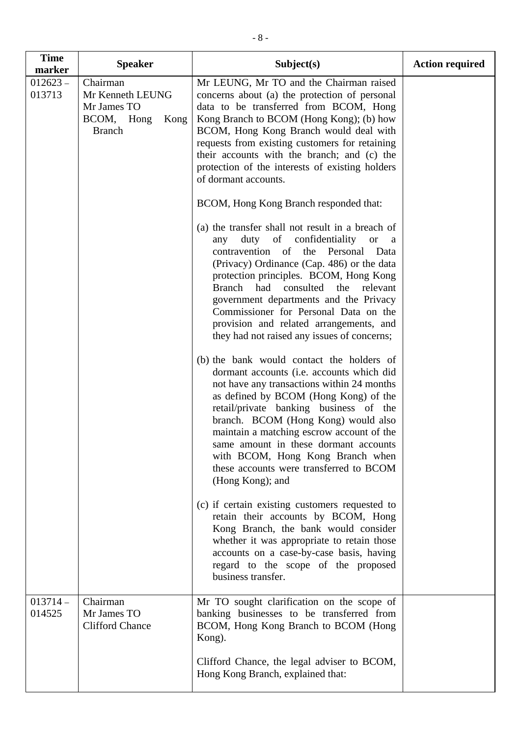| <b>Time</b><br>marker | <b>Speaker</b>                                                                     | Subject(s)                                                                                                                                                                                                                                                                                                                                                                                                                                                                                                                                                                                                                                                                                                                                                                                                                                                                                                               | <b>Action required</b> |
|-----------------------|------------------------------------------------------------------------------------|--------------------------------------------------------------------------------------------------------------------------------------------------------------------------------------------------------------------------------------------------------------------------------------------------------------------------------------------------------------------------------------------------------------------------------------------------------------------------------------------------------------------------------------------------------------------------------------------------------------------------------------------------------------------------------------------------------------------------------------------------------------------------------------------------------------------------------------------------------------------------------------------------------------------------|------------------------|
| $012623 -$<br>013713  | Chairman<br>Mr Kenneth LEUNG<br>Mr James TO<br>BCOM, Hong<br>Kong<br><b>Branch</b> | Mr LEUNG, Mr TO and the Chairman raised<br>concerns about (a) the protection of personal<br>data to be transferred from BCOM, Hong<br>Kong Branch to BCOM (Hong Kong); (b) how<br>BCOM, Hong Kong Branch would deal with<br>requests from existing customers for retaining<br>their accounts with the branch; and (c) the<br>protection of the interests of existing holders<br>of dormant accounts.                                                                                                                                                                                                                                                                                                                                                                                                                                                                                                                     |                        |
|                       |                                                                                    | BCOM, Hong Kong Branch responded that:                                                                                                                                                                                                                                                                                                                                                                                                                                                                                                                                                                                                                                                                                                                                                                                                                                                                                   |                        |
|                       |                                                                                    | (a) the transfer shall not result in a breach of<br>duty of confidentiality<br><b>or</b><br>any<br>a<br>contravention of<br>the<br>Personal Data<br>(Privacy) Ordinance (Cap. 486) or the data<br>protection principles. BCOM, Hong Kong<br>Branch had consulted<br>the relevant<br>government departments and the Privacy<br>Commissioner for Personal Data on the<br>provision and related arrangements, and<br>they had not raised any issues of concerns;<br>(b) the bank would contact the holders of<br>dormant accounts (i.e. accounts which did<br>not have any transactions within 24 months<br>as defined by BCOM (Hong Kong) of the<br>retail/private banking business of the<br>branch. BCOM (Hong Kong) would also<br>maintain a matching escrow account of the<br>same amount in these dormant accounts<br>with BCOM, Hong Kong Branch when<br>these accounts were transferred to BCOM<br>(Hong Kong); and |                        |
|                       |                                                                                    | (c) if certain existing customers requested to<br>retain their accounts by BCOM, Hong<br>Kong Branch, the bank would consider<br>whether it was appropriate to retain those<br>accounts on a case-by-case basis, having<br>regard to the scope of the proposed<br>business transfer.                                                                                                                                                                                                                                                                                                                                                                                                                                                                                                                                                                                                                                     |                        |
| $013714-$<br>014525   | Chairman<br>Mr James TO<br><b>Clifford Chance</b>                                  | Mr TO sought clarification on the scope of<br>banking businesses to be transferred from<br>BCOM, Hong Kong Branch to BCOM (Hong<br>Kong).                                                                                                                                                                                                                                                                                                                                                                                                                                                                                                                                                                                                                                                                                                                                                                                |                        |
|                       |                                                                                    | Clifford Chance, the legal adviser to BCOM,<br>Hong Kong Branch, explained that:                                                                                                                                                                                                                                                                                                                                                                                                                                                                                                                                                                                                                                                                                                                                                                                                                                         |                        |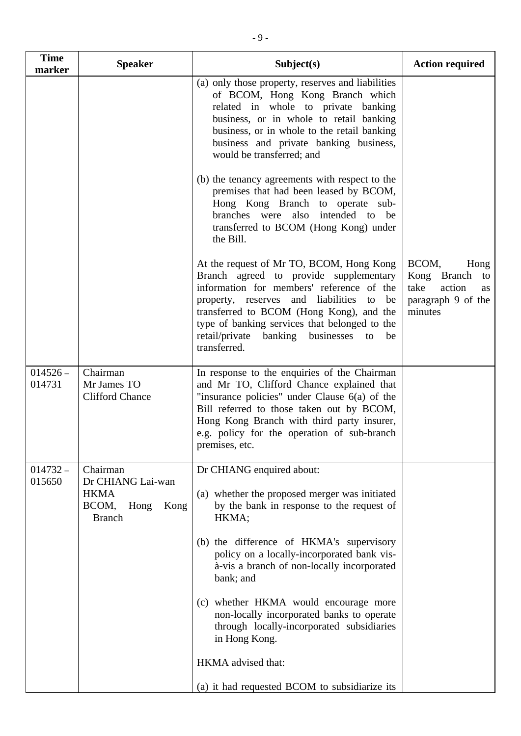| <b>Time</b><br>marker | <b>Speaker</b>                                                                         | Subject(s)                                                                                                                                                                                                                                                                                                                                                                                                                                | <b>Action required</b>                                                                      |
|-----------------------|----------------------------------------------------------------------------------------|-------------------------------------------------------------------------------------------------------------------------------------------------------------------------------------------------------------------------------------------------------------------------------------------------------------------------------------------------------------------------------------------------------------------------------------------|---------------------------------------------------------------------------------------------|
|                       |                                                                                        | (a) only those property, reserves and liabilities<br>of BCOM, Hong Kong Branch which<br>related in whole to private banking<br>business, or in whole to retail banking<br>business, or in whole to the retail banking<br>business and private banking business,<br>would be transferred; and                                                                                                                                              |                                                                                             |
|                       |                                                                                        | (b) the tenancy agreements with respect to the<br>premises that had been leased by BCOM,<br>Hong Kong Branch to operate sub-<br>branches were also intended to<br>be<br>transferred to BCOM (Hong Kong) under<br>the Bill.                                                                                                                                                                                                                |                                                                                             |
|                       |                                                                                        | At the request of Mr TO, BCOM, Hong Kong<br>Branch agreed to provide supplementary<br>information for members' reference of the<br>property, reserves and liabilities<br>to<br>be<br>transferred to BCOM (Hong Kong), and the<br>type of banking services that belonged to the<br>retail/private<br>banking businesses to<br>be<br>transferred.                                                                                           | BCOM,<br>Hong<br>Kong Branch<br>to<br>take<br>action<br>as<br>paragraph 9 of the<br>minutes |
| $014526 -$<br>014731  | Chairman<br>Mr James TO<br><b>Clifford Chance</b>                                      | In response to the enquiries of the Chairman<br>and Mr TO, Clifford Chance explained that<br>"insurance policies" under Clause $6(a)$ of the<br>Bill referred to those taken out by BCOM,<br>Hong Kong Branch with third party insurer,<br>e.g. policy for the operation of sub-branch<br>premises, etc.                                                                                                                                  |                                                                                             |
| $014732 -$<br>015650  | Chairman<br>Dr CHIANG Lai-wan<br><b>HKMA</b><br>Kong<br>BCOM,<br>Hong<br><b>Branch</b> | Dr CHIANG enquired about:<br>(a) whether the proposed merger was initiated<br>by the bank in response to the request of<br>HKMA;<br>(b) the difference of HKMA's supervisory<br>policy on a locally-incorporated bank vis-<br>à-vis a branch of non-locally incorporated<br>bank; and<br>(c) whether HKMA would encourage more<br>non-locally incorporated banks to operate<br>through locally-incorporated subsidiaries<br>in Hong Kong. |                                                                                             |
|                       |                                                                                        | HKMA advised that:                                                                                                                                                                                                                                                                                                                                                                                                                        |                                                                                             |

(a) it had requested BCOM to subsidiarize its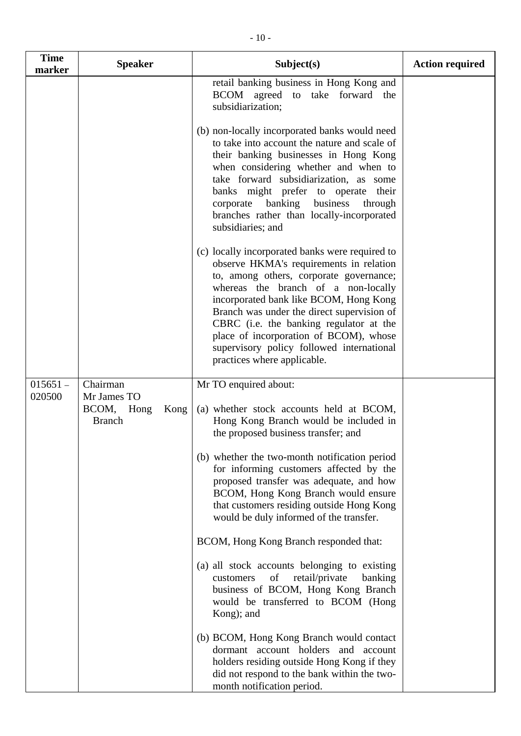| <b>Time</b><br>marker | <b>Speaker</b>                                        | Subject(s)                                                                                                                                                                                                                                                                                                                                                                                                                            | <b>Action required</b> |
|-----------------------|-------------------------------------------------------|---------------------------------------------------------------------------------------------------------------------------------------------------------------------------------------------------------------------------------------------------------------------------------------------------------------------------------------------------------------------------------------------------------------------------------------|------------------------|
|                       |                                                       | retail banking business in Hong Kong and<br>BCOM agreed to take forward the<br>subsidiarization;                                                                                                                                                                                                                                                                                                                                      |                        |
|                       |                                                       | (b) non-locally incorporated banks would need<br>to take into account the nature and scale of<br>their banking businesses in Hong Kong<br>when considering whether and when to<br>take forward subsidiarization, as some<br>banks might prefer to operate their<br>corporate banking<br>business<br>through<br>branches rather than locally-incorporated<br>subsidiaries; and                                                         |                        |
|                       |                                                       | (c) locally incorporated banks were required to<br>observe HKMA's requirements in relation<br>to, among others, corporate governance;<br>whereas the branch of a non-locally<br>incorporated bank like BCOM, Hong Kong<br>Branch was under the direct supervision of<br>CBRC (i.e. the banking regulator at the<br>place of incorporation of BCOM), whose<br>supervisory policy followed international<br>practices where applicable. |                        |
| $015651 -$<br>020500  | Chairman                                              | Mr TO enquired about:                                                                                                                                                                                                                                                                                                                                                                                                                 |                        |
|                       | Mr James TO<br>BCOM,<br>Hong<br>Kong<br><b>Branch</b> | (a) whether stock accounts held at BCOM,<br>Hong Kong Branch would be included in<br>the proposed business transfer; and                                                                                                                                                                                                                                                                                                              |                        |
|                       |                                                       | (b) whether the two-month notification period<br>for informing customers affected by the<br>proposed transfer was adequate, and how<br>BCOM, Hong Kong Branch would ensure<br>that customers residing outside Hong Kong<br>would be duly informed of the transfer.                                                                                                                                                                    |                        |
|                       |                                                       | BCOM, Hong Kong Branch responded that:                                                                                                                                                                                                                                                                                                                                                                                                |                        |
|                       |                                                       | (a) all stock accounts belonging to existing<br>retail/private<br>of<br>banking<br>customers<br>business of BCOM, Hong Kong Branch<br>would be transferred to BCOM (Hong<br>Kong); and                                                                                                                                                                                                                                                |                        |
|                       |                                                       | (b) BCOM, Hong Kong Branch would contact<br>dormant account holders and account<br>holders residing outside Hong Kong if they<br>did not respond to the bank within the two-<br>month notification period.                                                                                                                                                                                                                            |                        |